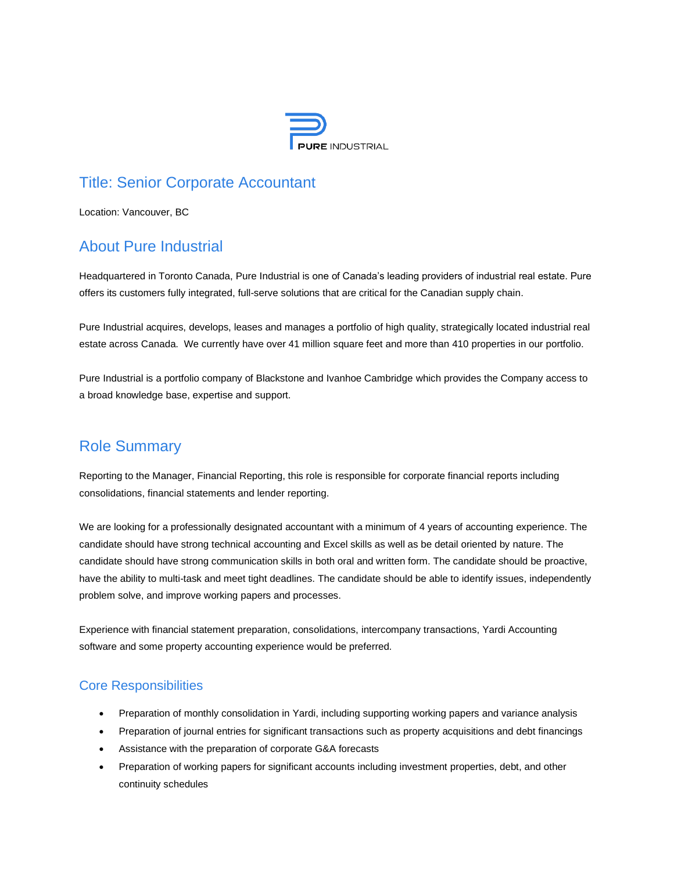

# Title: Senior Corporate Accountant

Location: Vancouver, BC

### About Pure Industrial

Headquartered in Toronto Canada, Pure Industrial is one of Canada's leading providers of industrial real estate. Pure offers its customers fully integrated, full-serve solutions that are critical for the Canadian supply chain.

Pure Industrial acquires, develops, leases and manages a portfolio of high quality, strategically located industrial real estate across Canada. We currently have over 41 million square feet and more than 410 properties in our portfolio.

Pure Industrial is a portfolio company of Blackstone and Ivanhoe Cambridge which provides the Company access to a broad knowledge base, expertise and support.

## Role Summary

Reporting to the Manager, Financial Reporting, this role is responsible for corporate financial reports including consolidations, financial statements and lender reporting.

We are looking for a professionally designated accountant with a minimum of 4 years of accounting experience. The candidate should have strong technical accounting and Excel skills as well as be detail oriented by nature. The candidate should have strong communication skills in both oral and written form. The candidate should be proactive, have the ability to multi-task and meet tight deadlines. The candidate should be able to identify issues, independently problem solve, and improve working papers and processes.

Experience with financial statement preparation, consolidations, intercompany transactions, Yardi Accounting software and some property accounting experience would be preferred.

#### Core Responsibilities

- Preparation of monthly consolidation in Yardi, including supporting working papers and variance analysis
- Preparation of journal entries for significant transactions such as property acquisitions and debt financings
- Assistance with the preparation of corporate G&A forecasts
- Preparation of working papers for significant accounts including investment properties, debt, and other continuity schedules